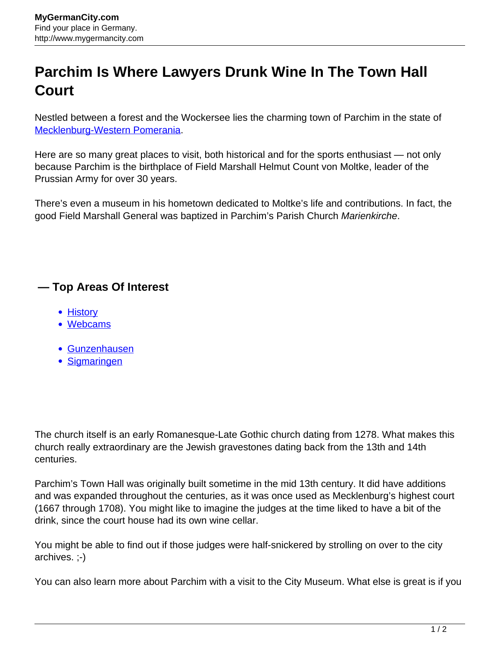## **Parchim Is Where Lawyers Drunk Wine In The Town Hall Court**

Nestled between a forest and the Wockersee lies the charming town of Parchim in the state of [Mecklenburg-Western Pomerania](http://www.mygermancity.com/mecklenburg-western-pomerania).

Here are so many great places to visit, both historical and for the sports enthusiast — not only because Parchim is the birthplace of Field Marshall Helmut Count von Moltke, leader of the Prussian Army for over 30 years.

There's even a museum in his hometown dedicated to Moltke's life and contributions. In fact, the good Field Marshall General was baptized in Parchim's Parish Church Marienkirche.

## **— Top Areas Of Interest**

- [History](http://www.mygermancity.com/leipzig-history)
- [Webcams](http://www.mygermancity.com/neustadt-holstein-webcams)
- [Gunzenhausen](http://www.mygermancity.com/gunzenhausen)
- [Sigmaringen](http://www.mygermancity.com/sigmaringen)

The church itself is an early Romanesque-Late Gothic church dating from 1278. What makes this church really extraordinary are the Jewish gravestones dating back from the 13th and 14th centuries.

Parchim's Town Hall was originally built sometime in the mid 13th century. It did have additions and was expanded throughout the centuries, as it was once used as Mecklenburg's highest court (1667 through 1708). You might like to imagine the judges at the time liked to have a bit of the drink, since the court house had its own wine cellar.

You might be able to find out if those judges were half-snickered by strolling on over to the city archives. ;-)

You can also learn more about Parchim with a visit to the City Museum. What else is great is if you